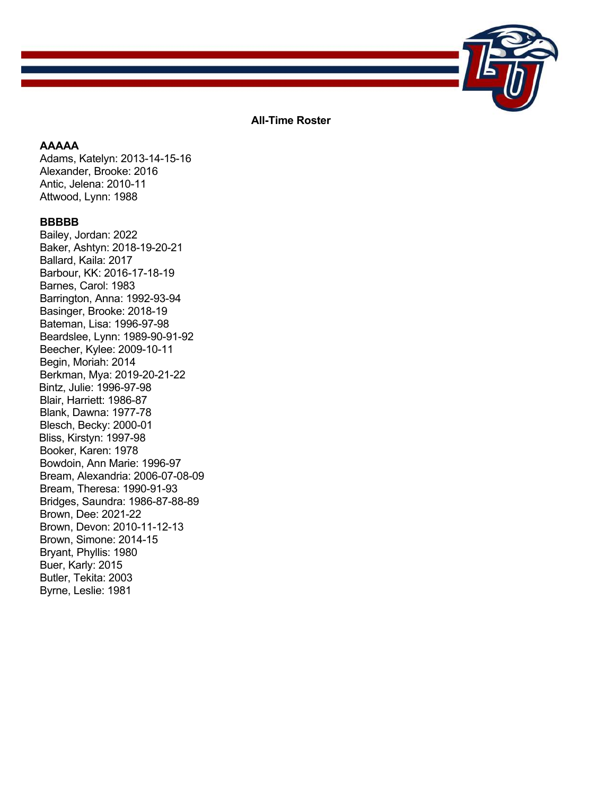

**All-Time Roster** 

# **AAAAA**

Adams, Katelyn: 2013-14-15-16 Alexander, Brooke: 2016 Antic, Jelena: 2010-11 Attwood, Lynn: 1988

## **BBBBB**

Bailey, Jordan: 2022 Baker, Ashtyn: 2018-19-20-21 Ballard, Kaila: 2017 Barbour, KK: 2016-17-18-19 Barnes, Carol: 1983 Barrington, Anna: 1992-93-94 Basinger, Brooke: 2018-19 Bateman, Lisa: 1996-97-98 Beardslee, Lynn: 1989-90-91-92 Beecher, Kylee: 2009-10-11 Begin, Moriah: 2014 Berkman, Mya: 2019-20-21-22 Bintz, Julie: 1996-97-98 Blair, Harriett: 1986-87 Blank, Dawna: 1977-78 Blesch, Becky: 2000-01 Bliss, Kirstyn: 1997-98 Booker, Karen: 1978 Bowdoin, Ann Marie: 1996-97 Bream, Alexandria: 2006-07-08-09 Bream, Theresa: 1990-91-93 Bridges, Saundra: 1986-87-88-89 Brown, Dee: 2021-22 Brown, Devon: 2010-11-12-13 Brown, Simone: 2014-15 Bryant, Phyllis: 1980 Buer, Karly: 2015 Butler, Tekita: 2003 Byrne, Leslie: 1981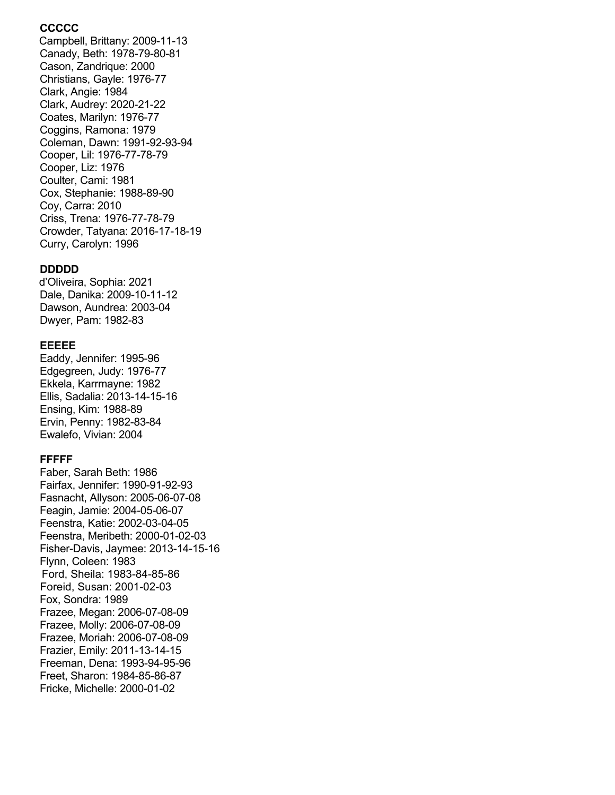# **CCCCC**

 Campbell, Brittany: 2009-11-13 Canady, Beth: 1978-79-80-81 Cason, Zandrique: 2000 Christians, Gayle: 1976-77 Clark, Angie: 1984 Clark, Audrey: 2020-21-22 Coates, Marilyn: 1976-77 Coggins, Ramona: 1979 Coleman, Dawn: 1991-92-93-94 Cooper, Lil: 1976-77-78-79 Cooper, Liz: 1976 Coulter, Cami: 1981 Cox, Stephanie: 1988-89-90 Coy, Carra: 2010 Criss, Trena: 1976-77-78-79 Crowder, Tatyana: 2016-17-18-19 Curry, Carolyn: 1996

#### **DDDDD**

 d'Oliveira, Sophia: 2021 Dale, Danika: 2009-10-11-12 Dawson, Aundrea: 2003-04 Dwyer, Pam: 1982-83

## **EEEEE**

Eaddy, Jennifer: 1995-96 Edgegreen, Judy: 1976-77 Ekkela, Karrmayne: 1982 Ellis, Sadalia: 2013-14-15-16 Ensing, Kim: 1988-89 Ervin, Penny: 1982-83-84 Ewalefo, Vivian: 2004

## **FFFFF**

Faber, Sarah Beth: 1986 Fairfax, Jennifer: 1990-91-92-93 Fasnacht, Allyson: 2005-06-07-08 Feagin, Jamie: 2004-05-06-07 Feenstra, Katie: 2002-03-04-05 Feenstra, Meribeth: 2000-01-02-03 Fisher-Davis, Jaymee: 2013-14-15-16 Flynn, Coleen: 1983 Ford, Sheila: 1983-84-85-86 Foreid, Susan: 2001-02-03 Fox, Sondra: 1989 Frazee, Megan: 2006-07-08-09 Frazee, Molly: 2006-07-08-09 Frazee, Moriah: 2006-07-08-09 Frazier, Emily: 2011-13-14-15 Freeman, Dena: 1993-94-95-96 Freet, Sharon: 1984-85-86-87 Fricke, Michelle: 2000-01-02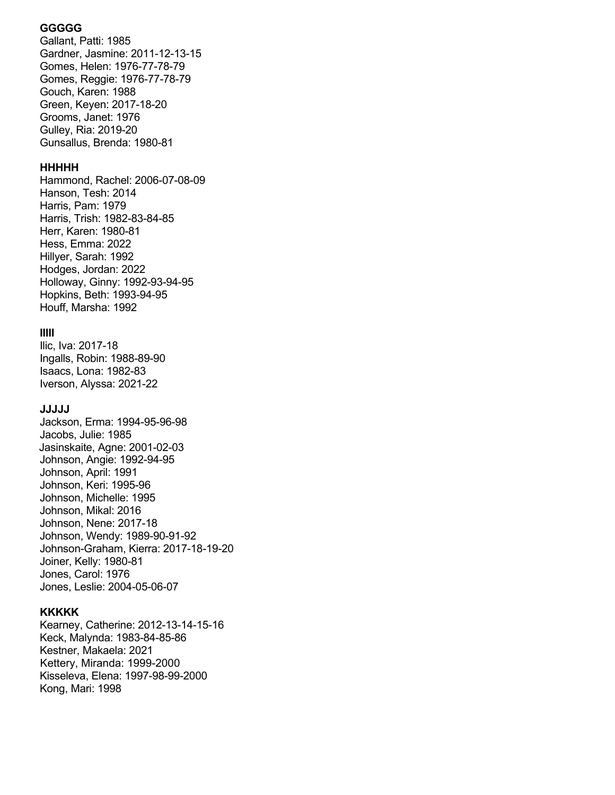## **GGGGG**

Gallant, Patti: 1985 Gardner, Jasmine: 2011-12-13-15 Gomes, Helen: 1976-77-78-79 Gomes, Reggie: 1976-77-78-79 Gouch, Karen: 1988 Green, Keyen: 2017-18-20 Grooms, Janet: 1976 Gulley, Ria: 2019-20 Gunsallus, Brenda: 1980-81

## **HHHHH**

Hammond, Rachel: 2006-07-08-09 Hanson, Tesh: 2014 Harris, Pam: 1979 Harris, Trish: 1982-83-84-85 Herr, Karen: 1980-81 Hess, Emma: 2022 Hillyer, Sarah: 1992 Hodges, Jordan: 2022 Holloway, Ginny: 1992-93-94-95 Hopkins, Beth: 1993-94-95 Houff, Marsha: 1992

# **IIIII**

Ilic, Iva: 2017-18 Ingalls, Robin: 1988-89-90 Isaacs, Lona: 1982-83 Iverson, Alyssa: 2021-22

## **JJJJJ**

Jackson, Erma: 1994-95-96-98 Jacobs, Julie: 1985 Jasinskaite, Agne: 2001-02-03 Johnson, Angie: 1992-94-95 Johnson, April: 1991 Johnson, Keri: 1995-96 Johnson, Michelle: 1995 Johnson, Mikal: 2016 Johnson, Nene: 2017-18 Johnson, Wendy: 1989-90-91-92 Johnson-Graham, Kierra: 2017-18-19-20 Joiner, Kelly: 1980-81 Jones, Carol: 1976 Jones, Leslie: 2004-05-06-07

## **KKKKK**

Kearney, Catherine: 2012-13-14-15-16 Keck, Malynda: 1983-84-85-86 Kestner, Makaela: 2021 Kettery, Miranda: 1999-2000 Kisseleva, Elena: 1997-98-99-2000 Kong, Mari: 1998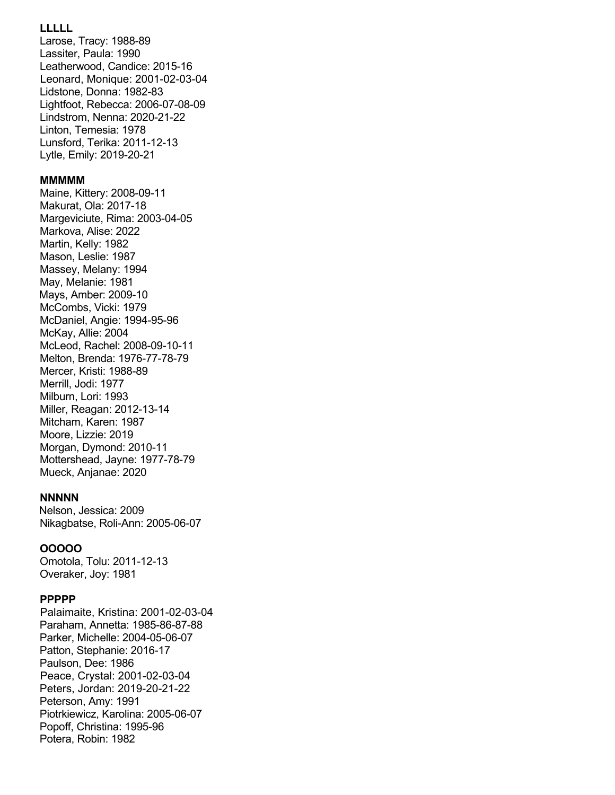# **LLLLL**

Larose, Tracy: 1988-89 Lassiter, Paula: 1990 Leatherwood, Candice: 2015-16 Leonard, Monique: 2001-02-03-04 Lidstone, Donna: 1982-83 Lightfoot, Rebecca: 2006-07-08-09 Lindstrom, Nenna: 2020-21-22 Linton, Temesia: 1978 Lunsford, Terika: 2011-12-13 Lytle, Emily: 2019-20-21

#### **MMMMM**

Maine, Kittery: 2008-09-11 Makurat, Ola: 2017-18 Margeviciute, Rima: 2003-04-05 Markova, Alise: 2022 Martin, Kelly: 1982 Mason, Leslie: 1987 Massey, Melany: 1994 May, Melanie: 1981 Mays, Amber: 2009-10 McCombs, Vicki: 1979 McDaniel, Angie: 1994-95-96 McKay, Allie: 2004 McLeod, Rachel: 2008-09-10-11 Melton, Brenda: 1976-77-78-79 Mercer, Kristi: 1988-89 Merrill, Jodi: 1977 Milburn, Lori: 1993 Miller, Reagan: 2012-13-14 Mitcham, Karen: 1987 Moore, Lizzie: 2019 Morgan, Dymond: 2010-11 Mottershead, Jayne: 1977-78-79 Mueck, Anjanae: 2020

#### **NNNNN**

 Nelson, Jessica: 2009 Nikagbatse, Roli-Ann: 2005-06-07

## **OOOOO**

Omotola, Tolu: 2011-12-13 Overaker, Joy: 1981

#### **PPPPP**

 Palaimaite, Kristina: 2001-02-03-04 Paraham, Annetta: 1985-86-87-88 Parker, Michelle: 2004-05-06-07 Patton, Stephanie: 2016-17 Paulson, Dee: 1986 Peace, Crystal: 2001-02-03-04 Peters, Jordan: 2019-20-21-22 Peterson, Amy: 1991 Piotrkiewicz, Karolina: 2005-06-07 Popoff, Christina: 1995-96 Potera, Robin: 1982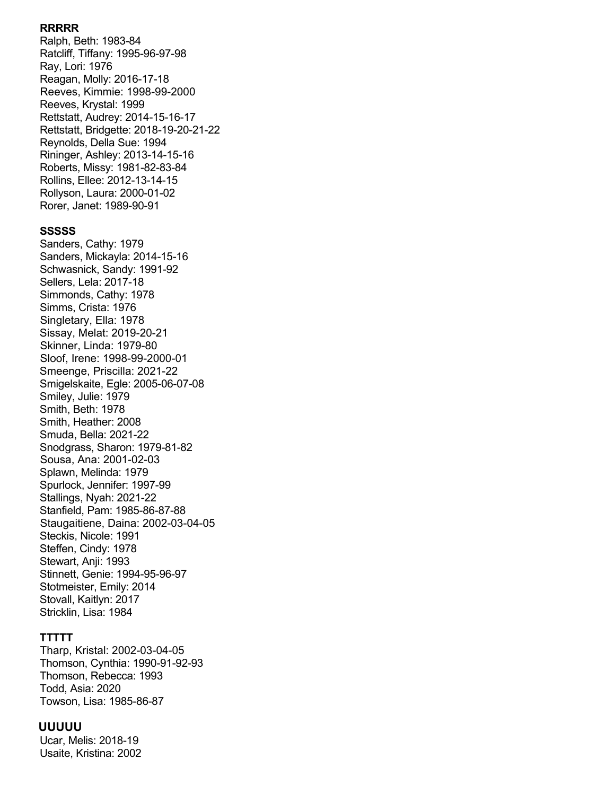#### **RRRRR**

Ralph, Beth: 1983-84 Ratcliff, Tiffany: 1995-96-97-98 Ray, Lori: 1976 Reagan, Molly: 2016-17-18 Reeves, Kimmie: 1998-99-2000 Reeves, Krystal: 1999 Rettstatt, Audrey: 2014-15-16-17 Rettstatt, Bridgette: 2018-19-20-21-22 Reynolds, Della Sue: 1994 Rininger, Ashley: 2013-14-15-16 Roberts, Missy: 1981-82-83-84 Rollins, Ellee: 2012-13-14-15 Rollyson, Laura: 2000-01-02 Rorer, Janet: 1989-90-91

#### **SSSSS**

Sanders, Cathy: 1979 Sanders, Mickayla: 2014-15-16 Schwasnick, Sandy: 1991-92 Sellers, Lela: 2017-18 Simmonds, Cathy: 1978 Simms, Crista: 1976 Singletary, Ella: 1978 Sissay, Melat: 2019-20-21 Skinner, Linda: 1979-80 Sloof, Irene: 1998-99-2000-01 Smeenge, Priscilla: 2021-22 Smigelskaite, Egle: 2005-06-07-08 Smiley, Julie: 1979 Smith, Beth: 1978 Smith, Heather: 2008 Smuda, Bella: 2021-22 Snodgrass, Sharon: 1979-81-82 Sousa, Ana: 2001-02-03 Splawn, Melinda: 1979 Spurlock, Jennifer: 1997-99 Stallings, Nyah: 2021-22 Stanfield, Pam: 1985-86-87-88 Staugaitiene, Daina: 2002-03-04-05 Steckis, Nicole: 1991 Steffen, Cindy: 1978 Stewart, Anji: 1993 Stinnett, Genie: 1994-95-96-97 Stotmeister, Emily: 2014 Stovall, Kaitlyn: 2017 Stricklin, Lisa: 1984

## **TTTTT**

 Tharp, Kristal: 2002-03-04-05 Thomson, Cynthia: 1990-91-92-93 Thomson, Rebecca: 1993 Todd, Asia: 2020 Towson, Lisa: 1985-86-87

#### **UUUUU**

Ucar, Melis: 2018-19 Usaite, Kristina: 2002